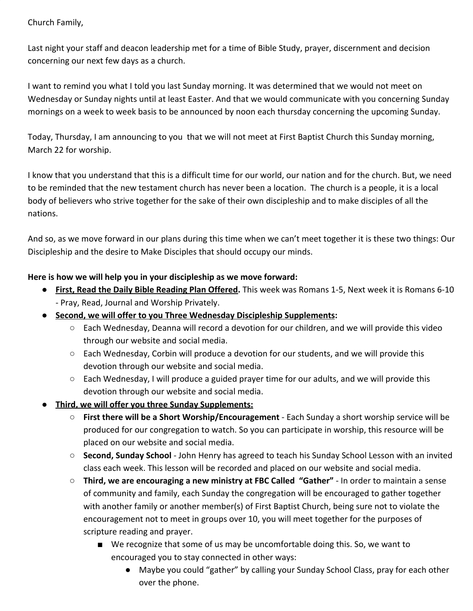## Church Family,

Last night your staff and deacon leadership met for a time of Bible Study, prayer, discernment and decision concerning our next few days as a church.

I want to remind you what I told you last Sunday morning. It was determined that we would not meet on Wednesday or Sunday nights until at least Easter. And that we would communicate with you concerning Sunday mornings on a week to week basis to be announced by noon each thursday concerning the upcoming Sunday.

Today, Thursday, I am announcing to you that we will not meet at First Baptist Church this Sunday morning, March 22 for worship.

I know that you understand that this is a difficult time for our world, our nation and for the church. But, we need to be reminded that the new testament church has never been a location. The church is a people, it is a local body of believers who strive together for the sake of their own discipleship and to make disciples of all the nations.

And so, as we move forward in our plans during this time when we can't meet together it is these two things: Our Discipleship and the desire to Make Disciples that should occupy our minds.

## **Here is how we will help you in your discipleship as we move forward:**

- **● First, Read the Daily Bible Reading Plan Offered.** This week was Romans 1-5, Next week it is Romans 6-10 - Pray, Read, Journal and Worship Privately.
- **● Second, we will offer to you Three Wednesday Discipleship Supplements:**
	- $\circ$  Each Wednesday, Deanna will record a devotion for our children, and we will provide this video through our website and social media.
	- $\circ$  Each Wednesday, Corbin will produce a devotion for our students, and we will provide this devotion through our website and social media.
	- $\circ$  Each Wednesday, I will produce a guided prayer time for our adults, and we will provide this devotion through our website and social media.
- **● Third, we will offer you three Sunday Supplements:**
	- **First there will be a Short Worship/Encouragement** Each Sunday a short worship service will be produced for our congregation to watch. So you can participate in worship, this resource will be placed on our website and social media.
	- **Second, Sunday School**  John Henry has agreed to teach his Sunday School Lesson with an invited class each week. This lesson will be recorded and placed on our website and social media.
	- **Third, we are encouraging a new ministry at FBC Called "Gather"**  In order to maintain a sense of community and family, each Sunday the congregation will be encouraged to gather together with another family or another member(s) of First Baptist Church, being sure not to violate the encouragement not to meet in groups over 10, you will meet together for the purposes of scripture reading and prayer.
		- We recognize that some of us may be uncomfortable doing this. So, we want to encouraged you to stay connected in other ways:
			- Maybe you could "gather" by calling your Sunday School Class, pray for each other over the phone.